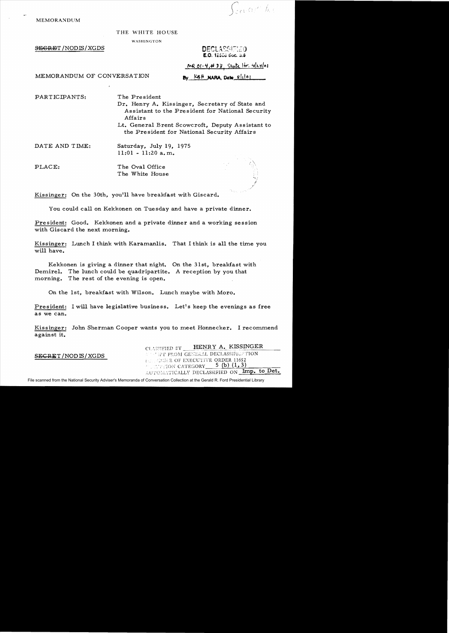$\int_{\mathbb{R}^{2} \times \mathbb{R}^{d}} \alpha_{\ell} e^{-} f_{0,\ell}$ 

MEMORANDUM

## THE WHITE HOUSE

WASHINGTON

 $S$ <del>EGRE</del>T/NODIS/XGDS

## **DECLASSIFIED E.O.** 12300 Soc. 3.3

MR 01-4,#33, State Hr. 4/24/01

By KBH NARA, Dato slilos

MEMORANDUM OF CONVERSATION

PART IC IPANTS: The President

- Dr. Henry A. Kissinger, Secretary of State and Assistant to the President for National Security Affairs
- Lt. General Brent Scowcroft, Deputy Assistant to the President for National Security Affairs

DATE AND TIME: Saturday, July 19, 1975 11:01 - 11:20 a. m.

PLACE: The Oval Office The White House

Kissinger: On the 30th, you'll have breakfast with Giscard.

You could call on Kekkonen on Tuesday and have a private dinner.

President: Good. Kekkonen and a private djnner and a working session with Giscard the next morning.

Kissinger: Lunch I think with Karamanlis. That I think is all the time you will have.

Kekkonen is giving a dinner that night. On the 31st, breakfast with Demirel. The lunch could be quadripartite. A reception by you that morning. The rest of the evening is open.

On the 1st, breakfast with Wilson. Lunch maybe with Moro.

President: I will have legislative business. Let's keep the evenings as free as we can.

Kissinger: John Sherman Cooper wants you to meet Honnecker. I recommend against it.

HENRY A. KISSINGER SEGRET / NOD IS / XGDS THE TROM GENERAL DECLASSIFICATION **SUI, ODULE OF EXECUTIVE ORDER 11652**  $'$ ,  $\therefore$   $\therefore$   $\therefore$   $\therefore$  CATEGORY  $\frac{5}{1,3}$ .' u":·'n'. ..I. ~,l.c"'.l...!.\_ '".""T(~ALLV DE"LASSIFIED -''- ON,' ...... Iron. !i.. "-" .\_ to. Det.

File scanned from the National Security Adviser's Memoranda of Conversation Collection at the Gerald R. Ford Presidential Library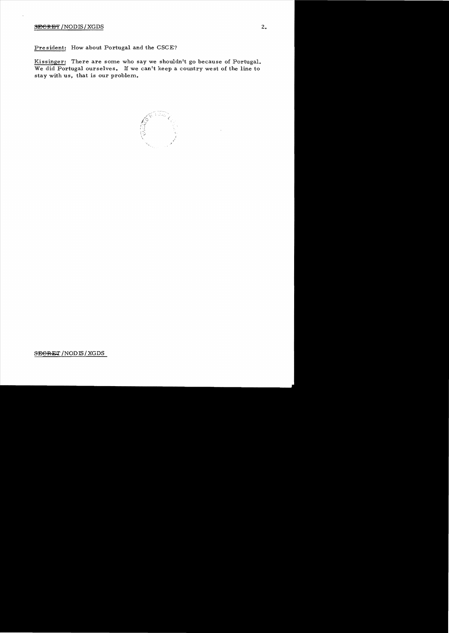## $S_{\text{ECRBF}}$ /NODIS/XGDS 2.

Pre sident: How about Portugal and the CSCE?

Kissinger: There are some who say we shouldn't go because of Portugal. We did Portugal ourselves. H we can't keep a country west of the line to stay with us, that is our problem.